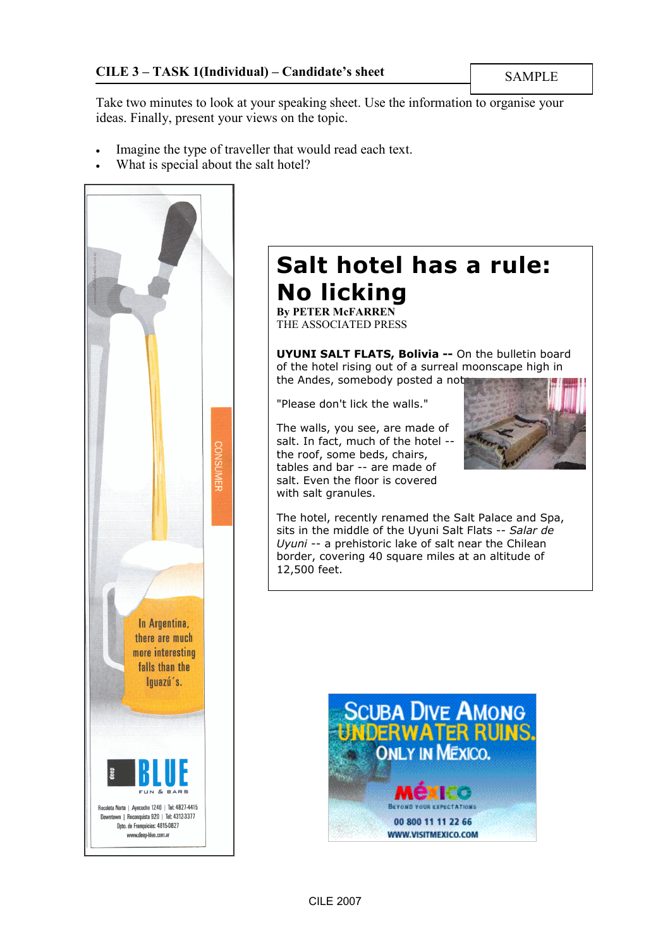Take two minutes to look at your speaking sheet. Use the information to organise your ideas. Finally, present your views on the topic.

- Imagine the type of traveller that would read each text.
- What is special about the salt hotel?



# Salt hotel has a rule: No licking

By PETER McFARREN THE ASSOCIATED PRESS

UYUNI SALT FLATS, Bolivia -- On the bulletin board of the hotel rising out of a surreal moonscape high in the Andes, somebody posted a not

"Please don't lick the walls."

The walls, you see, are made of salt. In fact, much of the hotel - the roof, some beds, chairs, tables and bar -- are made of salt. Even the floor is covered with salt granules.



The hotel, recently renamed the Salt Palace and Spa, sits in the middle of the Uyuni Salt Flats -- Salar de Uyuni -- a prehistoric lake of salt near the Chilean border, covering 40 square miles at an altitude of 12,500 feet.

![](_page_0_Picture_13.jpeg)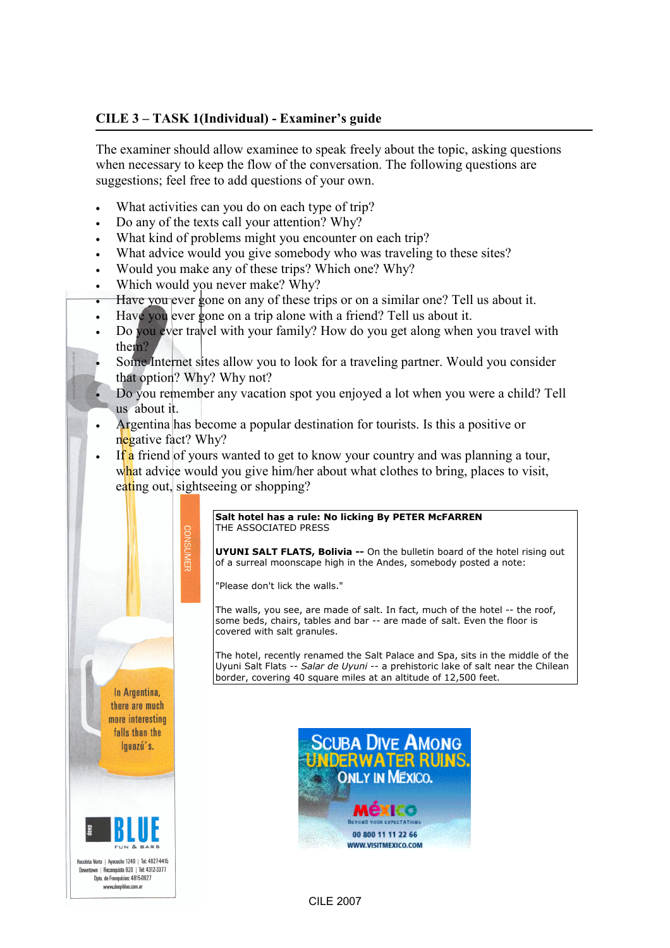## CILE 3 – TASK 1(Individual) - Examiner's guide

The examiner should allow examinee to speak freely about the topic, asking questions when necessary to keep the flow of the conversation. The following questions are suggestions; feel free to add questions of your own.

- What activities can you do on each type of trip?
- Do any of the texts call your attention? Why?
- What kind of problems might you encounter on each trip?
- What advice would you give somebody who was traveling to these sites?
- Would you make any of these trips? Which one? Why?
- Which would you never make? Why?

 $\frac{1}{2}$ 

- Have you ever gone on any of these trips or on a similar one? Tell us about it.
- Have you ever gone on a trip alone with a friend? Tell us about it.
- Do you ever travel with your family? How do you get along when you travel with them?
- Some Internet sites allow you to look for a traveling partner. Would you consider that option? Why? Why not?
- Do you remember any vacation spot you enjoyed a lot when you were a child? Tell us about it.
- Argentina has become a popular destination for tourists. Is this a positive or negative fact? Why?
- If a friend of yours wanted to get to know your country and was planning a tour, what advice would you give him/her about what clothes to bring, places to visit, eating out, sightseeing or shopping?

#### Salt hotel has a rule: No licking By PETER McFARREN THE ASSOCIATED PRESS

UYUNI SALT FLATS, Bolivia -- On the bulletin board of the hotel rising out of a surreal moonscape high in the Andes, somebody posted a note:

"Please don't lick the walls."

The walls, you see, are made of salt. In fact, much of the hotel -- the roof, some beds, chairs, tables and bar -- are made of salt. Even the floor is covered with salt granules.

The hotel, recently renamed the Salt Palace and Spa, sits in the middle of the Uyuni Salt Flats -- Salar de Uyuni -- a prehistoric lake of salt near the Chilean border, covering 40 square miles at an altitude of 12,500 feet.

In Argentina, there are much more interesting falls than the lquazú's.

![](_page_1_Picture_21.jpeg)

![](_page_1_Picture_22.jpeg)

CILE 2007